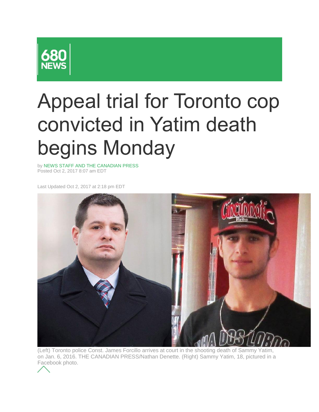

## Appeal trial for Toronto cop convicted in Yatim death begins Monday

by NEWS STAFF AND THE CANADIAN PRESS Posted Oct 2, 2017 8:07 am EDT

Last Updated Oct 2, 2017 at 2:18 pm EDT



(Left) Toronto police Const. James Forcillo arrives at court in the shooting death of Sammy Yatim, on Jan. 6, 2016. THE CANADIAN PRESS/Nathan Denette. (Right) Sammy Yatim, 18, pictured in a Facebook photo.